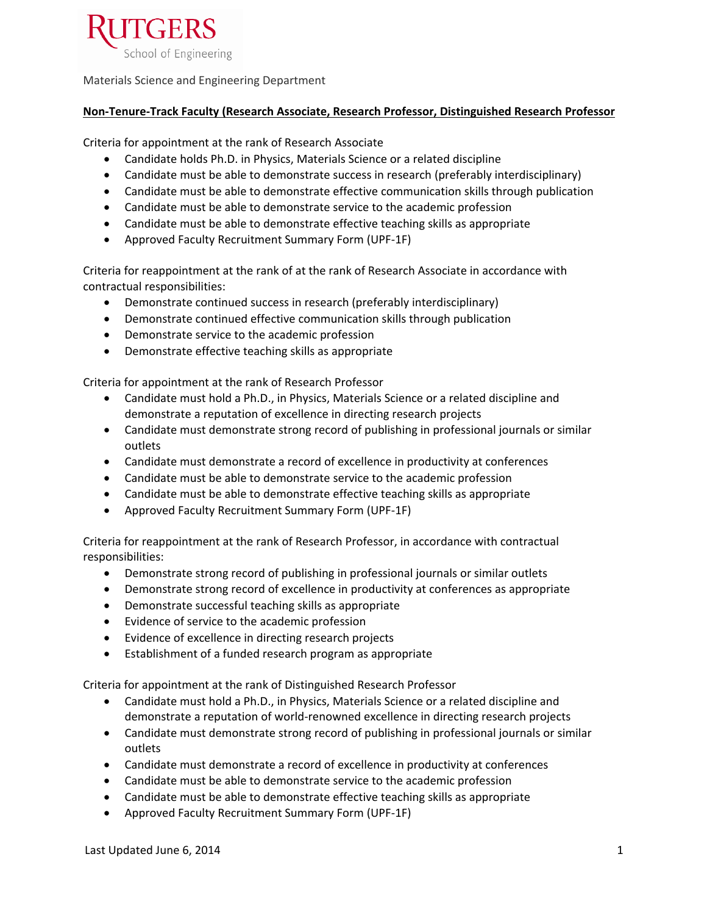

Materials Science and Engineering Department

## **Non-Tenure-Track Faculty (Research Associate, Research Professor, Distinguished Research Professor**

Criteria for appointment at the rank of Research Associate

- Candidate holds Ph.D. in Physics, Materials Science or a related discipline
- Candidate must be able to demonstrate success in research (preferably interdisciplinary)
- Candidate must be able to demonstrate effective communication skills through publication
- Candidate must be able to demonstrate service to the academic profession
- Candidate must be able to demonstrate effective teaching skills as appropriate
- Approved Faculty Recruitment Summary Form (UPF-1F)

Criteria for reappointment at the rank of at the rank of Research Associate in accordance with contractual responsibilities:

- Demonstrate continued success in research (preferably interdisciplinary)
- Demonstrate continued effective communication skills through publication
- Demonstrate service to the academic profession
- Demonstrate effective teaching skills as appropriate

Criteria for appointment at the rank of Research Professor

- Candidate must hold a Ph.D., in Physics, Materials Science or a related discipline and demonstrate a reputation of excellence in directing research projects
- Candidate must demonstrate strong record of publishing in professional journals or similar outlets
- Candidate must demonstrate a record of excellence in productivity at conferences
- Candidate must be able to demonstrate service to the academic profession
- Candidate must be able to demonstrate effective teaching skills as appropriate
- Approved Faculty Recruitment Summary Form (UPF-1F)

Criteria for reappointment at the rank of Research Professor, in accordance with contractual responsibilities:

- Demonstrate strong record of publishing in professional journals or similar outlets
- Demonstrate strong record of excellence in productivity at conferences as appropriate
- Demonstrate successful teaching skills as appropriate
- Evidence of service to the academic profession
- Evidence of excellence in directing research projects
- Establishment of a funded research program as appropriate

Criteria for appointment at the rank of Distinguished Research Professor

- Candidate must hold a Ph.D., in Physics, Materials Science or a related discipline and demonstrate a reputation of world-renowned excellence in directing research projects
- Candidate must demonstrate strong record of publishing in professional journals or similar outlets
- Candidate must demonstrate a record of excellence in productivity at conferences
- Candidate must be able to demonstrate service to the academic profession
- Candidate must be able to demonstrate effective teaching skills as appropriate
- Approved Faculty Recruitment Summary Form (UPF-1F)